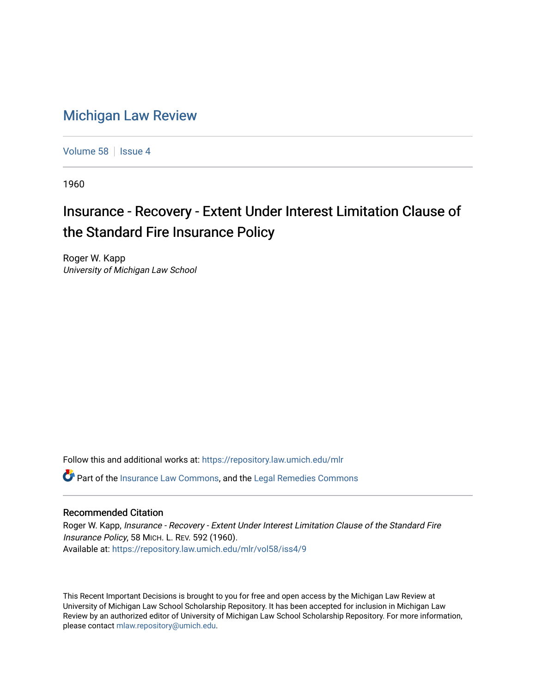## [Michigan Law Review](https://repository.law.umich.edu/mlr)

[Volume 58](https://repository.law.umich.edu/mlr/vol58) | [Issue 4](https://repository.law.umich.edu/mlr/vol58/iss4)

1960

## Insurance - Recovery - Extent Under Interest Limitation Clause of the Standard Fire Insurance Policy

Roger W. Kapp University of Michigan Law School

Follow this and additional works at: [https://repository.law.umich.edu/mlr](https://repository.law.umich.edu/mlr?utm_source=repository.law.umich.edu%2Fmlr%2Fvol58%2Fiss4%2F9&utm_medium=PDF&utm_campaign=PDFCoverPages) 

Part of the [Insurance Law Commons](http://network.bepress.com/hgg/discipline/607?utm_source=repository.law.umich.edu%2Fmlr%2Fvol58%2Fiss4%2F9&utm_medium=PDF&utm_campaign=PDFCoverPages), and the [Legal Remedies Commons](http://network.bepress.com/hgg/discipline/618?utm_source=repository.law.umich.edu%2Fmlr%2Fvol58%2Fiss4%2F9&utm_medium=PDF&utm_campaign=PDFCoverPages) 

## Recommended Citation

Roger W. Kapp, Insurance - Recovery - Extent Under Interest Limitation Clause of the Standard Fire Insurance Policy, 58 MICH. L. REV. 592 (1960). Available at: [https://repository.law.umich.edu/mlr/vol58/iss4/9](https://repository.law.umich.edu/mlr/vol58/iss4/9?utm_source=repository.law.umich.edu%2Fmlr%2Fvol58%2Fiss4%2F9&utm_medium=PDF&utm_campaign=PDFCoverPages)

This Recent Important Decisions is brought to you for free and open access by the Michigan Law Review at University of Michigan Law School Scholarship Repository. It has been accepted for inclusion in Michigan Law Review by an authorized editor of University of Michigan Law School Scholarship Repository. For more information, please contact [mlaw.repository@umich.edu.](mailto:mlaw.repository@umich.edu)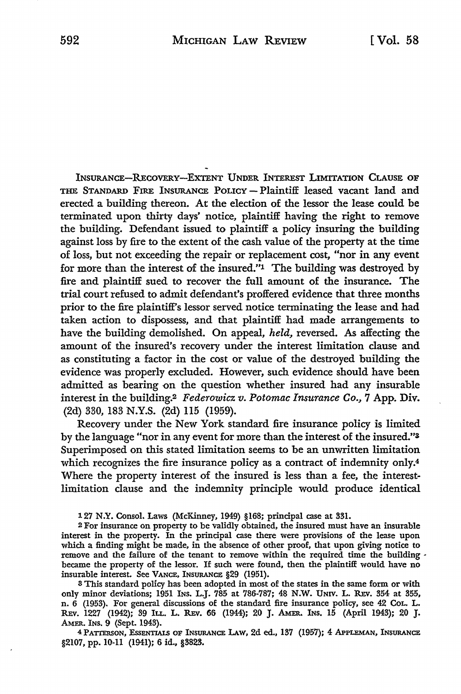INSURANCE-RECOVERY-EXTENT UNDER INTEREST LIMITATION CLAUSE OF THE STANDARD FIRE INSURANCE POLICY - Plaintiff leased vacant land and erected a building thereon. At the election of the lessor the lease could be terminated upon thirty days' notice, plaintiff having the right to remove the building. Defendant issued to plaintiff a policy insuring the building against loss by fire to the extent of the cash value of the property at the time of loss, but not exceeding the repair or replacement cost, "nor in any event for more than the interest of the insured."1 The building was destroyed by fire and plaintiff sued to recover the full amount of the insurance. The trial court refused to admit defendant's proffered evidence that three months prior to the fire plaintiff's lessor served notice terminating the lease and had taken action to dispossess, and that plaintiff had made arrangements to have the building demolished. On appeal, *held,* reversed. As affecting the amount of the insured's recovery under the interest limitation clause and as constituting a factor in the cost or value of the destroyed building the evidence was properly excluded. However, such evidence should have been admitted as bearing on the question whether insured had any insurable interest in the building.2 *Federowicz. v. Potomac Insurance Co.,* 7 App. Div. (2d) 330, 183 N.Y.S. (2d) 115 (1959).

Recovery under the New York standard fire insurance policy is limited by the language "nor in any event for more than the interest of the insured."S Superimposed on this stated limitation seems to be an unwritten limitation which recognizes the fire insurance policy as a contract of indemnity only.<sup>4</sup> Where the property interest of the insured is less than a fee, the interestlimitation clause and the indemnity principle would produce identical

<sup>1</sup>Z'/ N.Y. Consol. Laws (McKinney, 1949) §168; principal case at 331.

<sup>2</sup>For insurance on property to be validly obtained, the insured must have an insurable interest in the property. In the principal case there were provisions of the lease upon which a finding might be made, in the absence of other proof, that upon giving notice to remove and the failure of the tenant to remove within the required time the building . became the property of the lessor. If such were found, then the plaintiff would have no insurable interest. See VANCE, INSURANCE §29 (1951).

<sup>8</sup>This standard policy has been adopted in most of the states in the same form or with only minor deviations; 1951 INS. L.J. 785 at 786-787; 48 N.W. UNIV. L. REV. 354 at 355, n.  $6$  (1953). For general discussions of the standard fire insurance policy, see 42 CoL. L. REv. 1227 (1942); 39 ILL. L. REv. 66 (1944); 20 J. AMER. INS, 15 (April 1943); 20 J, AMER. INS. 9 (Sept. 1943).

4PATIERSON, EssENTIALS OF INSURANCE LAW, 2d ed., 137 (1957); 4 APPLEMAN, INSURANCE §2107, pp. 10-11 (1941); 6 id., §3823.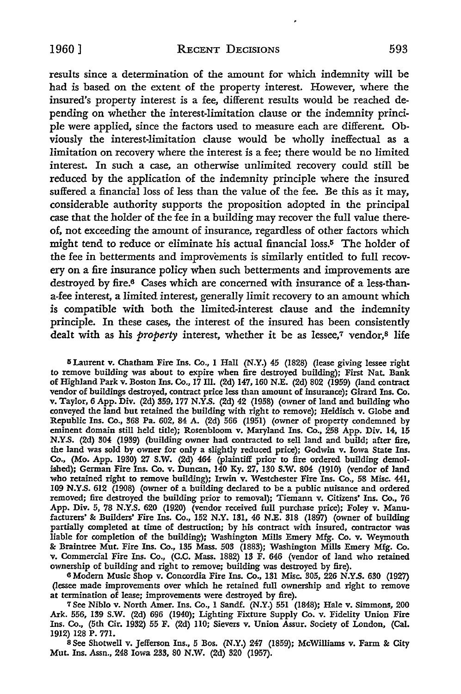results since a determination of the amount for which indemnity will be had is based on the extent of the property interest. However, where the insured's property interest is a fee, different results would be reached depending on whether the interest-limitation clause or the indemnity principle were applied, since the factors used to measure each are different. Obviously the interest-limitation clause would be wholly ineffectual as a limitation on recovery where the interest is a fee; there would be no limited interest. In such a case, an otherwise unlimited recovery could still be reduced by the application of the indemnity principle where the insured suffered a financial loss of less than the value of the fee. Be this as it *may,*  considerable authority supports the proposition adopted in the principal case that the holder of the fee in a building may recover the full value thereof, not exceeding the amount of insurance, regardless of other factors which might tend *to* reduce or eliminate his actual financial loss.5 The holder of the fee in betterments and improvements is similarly entitled to full recovery on a fire insurance policy when such betterments and improvements are destroyed by fire.<sup>6</sup> Cases which are concerned with insurance of a less-thana-fee interest, a limited interest, generally limit recovery to an amount which is compatible with both the limited-interest clause and the indemnity principle. In these cases, the interest of the insured has been consistently dealt with as his *property* interest, whether it be as lessee,<sup>7</sup> vendor,<sup>8</sup> life

<sup>5</sup> Laurent v. Chatham Fire Ins. Co., 1 Hall (N.Y.) 45 (1828) (lease giving lessee right to remove building was about to expire when fire destroyed building); First Nat. Bank of Highland Park v. Boston Ins. Co., 17 Ill. (2d) 147, 160 N.E. (2d) 802 (1959) (land contract vendor of buildings destroyed, contract price less than amount of insurance); Girard Ins. Co. v. Taylor, 6 App. Div. (2d) 359, 177 N.Y.S. (2d) 42 (1958) (owner of land and building who conveyed the land but retained the building with right to remove); Heidisch v. Globe and Republic Ins. Co., 368 Pa. 602, 84 A. (2d) 566 (1951) (owner of property condemned by eminent domain still held title); Rosenbloom v. Maryland Ins. Co., 258 App. Div. 14, 15 N.Y.S. (2d) 304 (1939) (building owner had contracted to sell land and build; after fire, the land was sold by owner for only a slightly reduced price); Godwin v. Iowa State Ins. Co., (Mo. App. 1930) 27 S.W. (2d) 464- (plaintiff prior to fire ordered building demolished); German Fire Ins. Co. v. Duncan, 140 Ky. 27, 130 S.W. 804 (1910) (vendor of land who retained right to remove building); Irwin v. Westchester Fire Ins. Co., 58 Misc. 441, 109 N.Y.S. 612 (1908) (owner of a building declared to be a public nuisance and ordered removed; fire destroyed the building prior to removal); Tiemann v. Citizens' Ins. Co., 76 App. Div. *5,* 78 N.Y.S. 620 (1920) (vendor received full purchase price); Foley v. Manufacturers' & Builders' Fire Ins. Co., 152 N.Y. 131, 46 N.E. 318 (1897) (owner of building partially completed at time of destruction; by his contract with insured, contractor was liable for completion of the building); Washington Mills Emery Mfg. Co. v. Weymouth & Braintree Mut. Fire Ins. Co., 135 Mass. 503 (1883); Washington Mills Emery Mfg. Co. v. Commercial Fire Ins. Co., (C.C. Mass. 1882) 13 F. 646 (vendor of land who retained ownership of building and right to remove; building was destroyed by fire).

6Modem Music Shop v. Concordia Fire Ins. Co., 131 Misc. 305,226 N.Y.S. 630 (1927) (lessee made improvements over which he retained full ownership and right to remove at termination of lease; improvements were destroyed by fire).

7 See Niblo v. North Amer. Ins. Co., 1 Sandf. (N.Y.) 551 (1848); Hale v. Simmons, 200 Ark. 556, 139 S.W. (2d) 696 (1940); Lighting Fixture Supply Co. v. Fidelity Union Fire Ins. Co., (5th Cir. 1932) *55* F. (2d) llO; Sievers v. Union Assur. Society of London, (Cal. 1912) 128 P. 771.

s See Shotwell v. Jefferson Ins., *5* Bos. (N.Y.) 247 (1859); McWilliams v. Farm & City Mut. Ins. Assn., 248 Iowa 233, 80 N.W. (2d) 320 (1957).